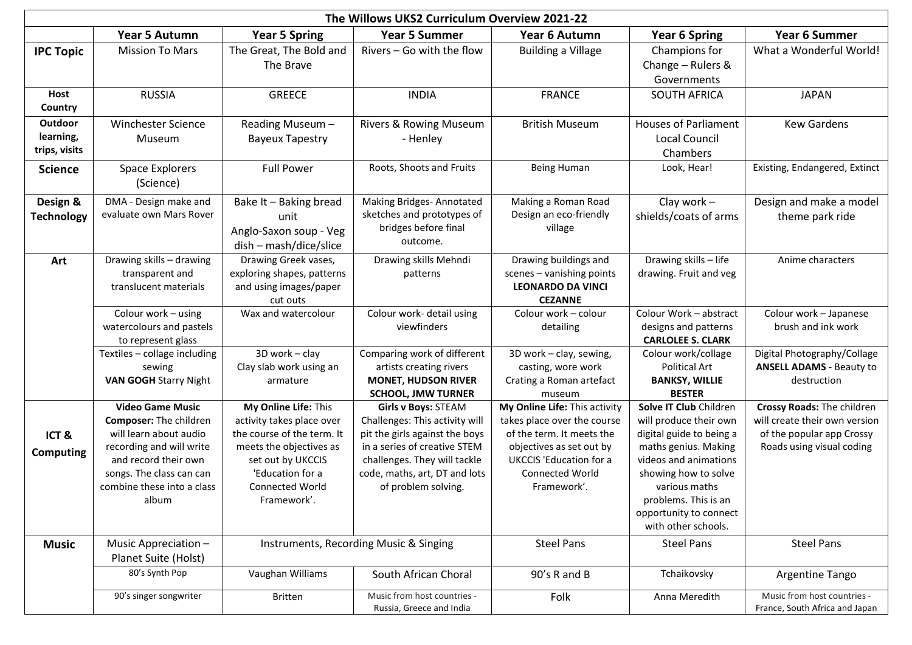|                                       | The Willows UKS2 Curriculum Overview 2021-22                                                                                                                                                       |                                                                                                                                                                                              |                                                                                                                                                                                                                 |                                                                                                                                                                                                  |                                                                                                                                                                                                                                                 |                                                                                                                       |  |  |
|---------------------------------------|----------------------------------------------------------------------------------------------------------------------------------------------------------------------------------------------------|----------------------------------------------------------------------------------------------------------------------------------------------------------------------------------------------|-----------------------------------------------------------------------------------------------------------------------------------------------------------------------------------------------------------------|--------------------------------------------------------------------------------------------------------------------------------------------------------------------------------------------------|-------------------------------------------------------------------------------------------------------------------------------------------------------------------------------------------------------------------------------------------------|-----------------------------------------------------------------------------------------------------------------------|--|--|
|                                       | <b>Year 5 Autumn</b>                                                                                                                                                                               | <b>Year 5 Spring</b>                                                                                                                                                                         | <b>Year 5 Summer</b>                                                                                                                                                                                            | Year 6 Autumn                                                                                                                                                                                    | <b>Year 6 Spring</b>                                                                                                                                                                                                                            | <b>Year 6 Summer</b>                                                                                                  |  |  |
| <b>IPC Topic</b>                      | <b>Mission To Mars</b>                                                                                                                                                                             | The Great, The Bold and<br>The Brave                                                                                                                                                         | Rivers - Go with the flow                                                                                                                                                                                       | <b>Building a Village</b>                                                                                                                                                                        | Champions for<br>Change - Rulers &<br>Governments                                                                                                                                                                                               | What a Wonderful World!                                                                                               |  |  |
| Host<br>Country                       | <b>RUSSIA</b>                                                                                                                                                                                      | <b>GREECE</b>                                                                                                                                                                                | <b>INDIA</b>                                                                                                                                                                                                    | <b>FRANCE</b>                                                                                                                                                                                    | <b>SOUTH AFRICA</b>                                                                                                                                                                                                                             | <b>JAPAN</b>                                                                                                          |  |  |
| Outdoor<br>learning,<br>trips, visits | <b>Winchester Science</b><br>Museum                                                                                                                                                                | Reading Museum -<br><b>Bayeux Tapestry</b>                                                                                                                                                   | Rivers & Rowing Museum<br>- Henley                                                                                                                                                                              | <b>British Museum</b>                                                                                                                                                                            | <b>Houses of Parliament</b><br><b>Local Council</b><br>Chambers                                                                                                                                                                                 | <b>Kew Gardens</b>                                                                                                    |  |  |
| <b>Science</b>                        | <b>Space Explorers</b><br>(Science)                                                                                                                                                                | <b>Full Power</b>                                                                                                                                                                            | Roots, Shoots and Fruits                                                                                                                                                                                        | Being Human                                                                                                                                                                                      | Look, Hear!                                                                                                                                                                                                                                     | Existing, Endangered, Extinct                                                                                         |  |  |
| Design &<br><b>Technology</b>         | DMA - Design make and<br>evaluate own Mars Rover                                                                                                                                                   | Bake It - Baking bread<br>unit<br>Anglo-Saxon soup - Veg<br>dish - mash/dice/slice                                                                                                           | Making Bridges-Annotated<br>sketches and prototypes of<br>bridges before final<br>outcome.                                                                                                                      | Making a Roman Road<br>Design an eco-friendly<br>village                                                                                                                                         | Clay work $-$<br>shields/coats of arms                                                                                                                                                                                                          | Design and make a model<br>theme park ride                                                                            |  |  |
| Art                                   | Drawing skills - drawing<br>transparent and<br>translucent materials                                                                                                                               | Drawing Greek vases,<br>exploring shapes, patterns<br>and using images/paper<br>cut outs                                                                                                     | Drawing skills Mehndi<br>patterns                                                                                                                                                                               | Drawing buildings and<br>scenes - vanishing points<br><b>LEONARDO DA VINCI</b><br><b>CEZANNE</b>                                                                                                 | Drawing skills - life<br>drawing. Fruit and veg                                                                                                                                                                                                 | Anime characters                                                                                                      |  |  |
|                                       | Colour work - using<br>watercolours and pastels<br>to represent glass                                                                                                                              | Wax and watercolour                                                                                                                                                                          | Colour work- detail using<br>viewfinders                                                                                                                                                                        | Colour work - colour<br>detailing                                                                                                                                                                | Colour Work - abstract<br>designs and patterns<br><b>CARLOLEE S. CLARK</b>                                                                                                                                                                      | Colour work - Japanese<br>brush and ink work                                                                          |  |  |
|                                       | Textiles - collage including<br>sewing<br><b>VAN GOGH Starry Night</b>                                                                                                                             | 3D work - clay<br>Clay slab work using an<br>armature                                                                                                                                        | Comparing work of different<br>artists creating rivers<br><b>MONET, HUDSON RIVER</b><br><b>SCHOOL, JMW TURNER</b>                                                                                               | 3D work - clay, sewing,<br>casting, wore work<br>Crating a Roman artefact<br>museum                                                                                                              | Colour work/collage<br>Political Art<br><b>BANKSY, WILLIE</b><br><b>BESTER</b>                                                                                                                                                                  | Digital Photography/Collage<br><b>ANSELL ADAMS - Beauty to</b><br>destruction                                         |  |  |
| ICT&<br><b>Computing</b>              | <b>Video Game Music</b><br>Composer: The children<br>will learn about audio<br>recording and will write<br>and record their own<br>songs. The class can can<br>combine these into a class<br>album | My Online Life: This<br>activity takes place over<br>the course of the term. It<br>meets the objectives as<br>set out by UKCCIS<br>'Education for a<br><b>Connected World</b><br>Framework'. | Girls v Boys: STEAM<br>Challenges: This activity will<br>pit the girls against the boys<br>in a series of creative STEM<br>challenges. They will tackle<br>code, maths, art, DT and lots<br>of problem solving. | My Online Life: This activity<br>takes place over the course<br>of the term. It meets the<br>objectives as set out by<br><b>UKCCIS</b> 'Education for a<br><b>Connected World</b><br>Framework'. | Solve IT Club Children<br>will produce their own<br>digital guide to being a<br>maths genius. Making<br>videos and animations<br>showing how to solve<br>various maths<br>problems. This is an<br>opportunity to connect<br>with other schools. | Crossy Roads: The children<br>will create their own version<br>of the popular app Crossy<br>Roads using visual coding |  |  |
| <b>Music</b>                          | Music Appreciation -<br>Planet Suite (Holst)                                                                                                                                                       |                                                                                                                                                                                              | Instruments, Recording Music & Singing                                                                                                                                                                          | <b>Steel Pans</b>                                                                                                                                                                                | <b>Steel Pans</b>                                                                                                                                                                                                                               | <b>Steel Pans</b>                                                                                                     |  |  |
|                                       | 80's Synth Pop                                                                                                                                                                                     | Vaughan Williams                                                                                                                                                                             | South African Choral                                                                                                                                                                                            | 90's R and B                                                                                                                                                                                     | Tchaikovsky                                                                                                                                                                                                                                     | Argentine Tango                                                                                                       |  |  |
|                                       | 90's singer songwriter                                                                                                                                                                             | <b>Britten</b>                                                                                                                                                                               | Music from host countries -<br>Russia, Greece and India                                                                                                                                                         | Folk                                                                                                                                                                                             | Anna Meredith                                                                                                                                                                                                                                   | Music from host countries -<br>France, South Africa and Japan                                                         |  |  |